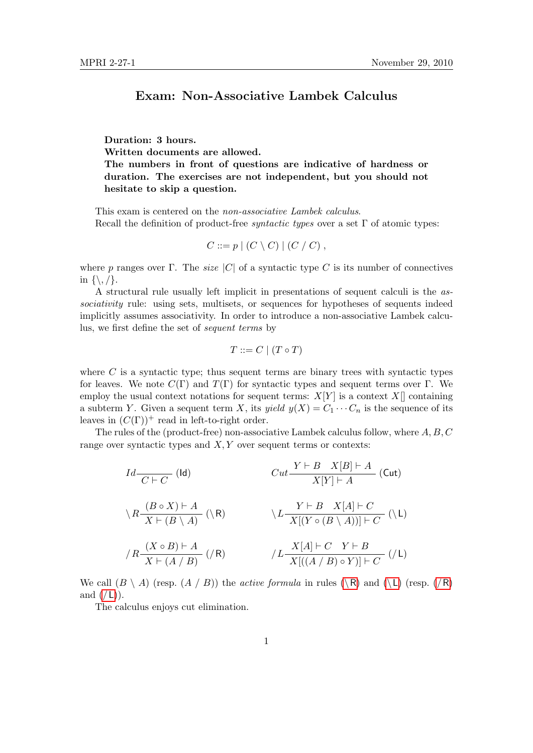## Exam: Non-Associative Lambek Calculus

Duration: 3 hours. Written documents are allowed. The numbers in front of questions are indicative of hardness or duration. The exercises are not independent, but you should not hesitate to skip a question.

This exam is centered on the non-associative Lambek calculus. Recall the definition of product-free *syntactic types* over a set  $\Gamma$  of atomic types:

$$
C ::= p \mid (C \setminus C) \mid (C \setminus C),
$$

where p ranges over Γ. The *size* |C| of a syntactic type C is its number of connectives in {\, /}.

A structural rule usually left implicit in presentations of sequent calculi is the associativity rule: using sets, multisets, or sequences for hypotheses of sequents indeed implicitly assumes associativity. In order to introduce a non-associative Lambek calculus, we first define the set of sequent terms by

<span id="page-0-1"></span>
$$
T ::= C \mid (T \circ T)
$$

where  $C$  is a syntactic type; thus sequent terms are binary trees with syntactic types for leaves. We note  $C(\Gamma)$  and  $T(\Gamma)$  for syntactic types and sequent terms over Γ. We employ the usual context notations for sequent terms:  $X[Y]$  is a context  $X[]$  containing a subterm Y. Given a sequent term X, its yield  $y(X) = C_1 \cdots C_n$  is the sequence of its leaves in  $(C(\Gamma))^+$  read in left-to-right order.

The rules of the (product-free) non-associative Lambek calculus follow, where A, B, C range over syntactic types and  $X, Y$  over sequent terms or contexts:

<span id="page-0-4"></span><span id="page-0-3"></span><span id="page-0-0"></span>
$$
Id \frac{}{C \vdash C} \quad (\text{Id}) \qquad \qquad Cut \frac{Y \vdash B \quad X[B] \vdash A}{X[Y] \vdash A} \quad (\text{Cut})
$$
\n
$$
\lambda R \frac{(B \circ X) \vdash A}{X \vdash (B \setminus A)} \quad (\setminus R) \qquad \qquad \lambda L \frac{Y \vdash B \quad X[A] \vdash C}{X[(Y \circ (B \setminus A))] \vdash C} \quad (\setminus L)
$$
\n
$$
/R \frac{(X \circ B) \vdash A}{X \vdash (A \land B)} \quad (R) \qquad \qquad /L \frac{X[A] \vdash C \quad Y \vdash B}{X[(A \land B) \circ Y)] \vdash C} \quad (\slash L)
$$

<span id="page-0-2"></span>We call  $(B \setminus A)$  (resp.  $(A \mid B)$ ) the *active formula* in rules  $(\setminus R)$  $(\setminus R)$  $(\setminus R)$  and  $(\setminus L)$  $(\setminus L)$  $(\setminus L)$  (resp.  $(\setminus R)$ ) and  $(\angle L)$  $(\angle L)$  $(\angle L)$ .

The calculus enjoys cut elimination.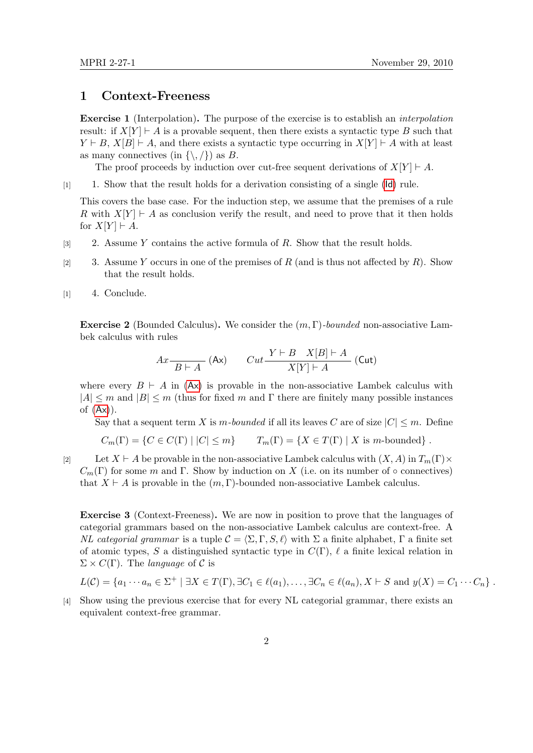## 1 Context-Freeness

Exercise 1 (Interpolation). The purpose of the exercise is to establish an interpolation result: if  $X[Y] \vdash A$  is a provable sequent, then there exists a syntactic type B such that  $Y \vdash B$ ,  $X[B] \vdash A$ , and there exists a syntactic type occurring in  $X[Y] \vdash A$  with at least as many connectives (in  $\{\setminus,\setminus\}$ ) as B.

The proof proceeds by induction over cut-free sequent derivations of  $X[Y] \vdash A$ .

[1] 1. Show that the result holds for a derivation consisting of a single ([Id](#page-0-4)) rule.

This covers the base case. For the induction step, we assume that the premises of a rule R with  $X[Y] \vdash A$  as conclusion verify the result, and need to prove that it then holds for  $X[Y] \vdash A$ .

- [3] 2. Assume Y contains the active formula of R. Show that the result holds.
- [2] 3. Assume Y occurs in one of the premises of R (and is thus not affected by R). Show that the result holds.
- [1] 4. Conclude.

**Exercise 2** (Bounded Calculus). We consider the  $(m, \Gamma)$ -bounded non-associative Lambek calculus with rules

<span id="page-1-0"></span>
$$
Ax \frac{}{B \vdash A} \text{ (Ax)} \qquad Cut \frac{Y \vdash B \quad X[B] \vdash A}{X[Y] \vdash A} \text{ (Cut)}
$$

where every  $B \vdash A$  in  $(Ax)$  $(Ax)$  $(Ax)$  is provable in the non-associative Lambek calculus with  $|A| \leq m$  and  $|B| \leq m$  (thus for fixed m and  $\Gamma$  there are finitely many possible instances of  $(Ax)$  $(Ax)$  $(Ax)$ ).

Say that a sequent term X is m-bounded if all its leaves C are of size  $|C| \leq m$ . Define

$$
C_m(\Gamma) = \{ C \in C(\Gamma) \mid |C| \le m \} \qquad T_m(\Gamma) = \{ X \in T(\Gamma) \mid X \text{ is } m\text{-bounded} \} .
$$

[2] Let  $X \vdash A$  be provable in the non-associative Lambek calculus with  $(X, A)$  in  $T_m(\Gamma) \times$  $C_m(\Gamma)$  for some m and  $\Gamma$ . Show by induction on X (i.e. on its number of  $\circ$  connectives) that  $X \vdash A$  is provable in the  $(m, \Gamma)$ -bounded non-associative Lambek calculus.

Exercise 3 (Context-Freeness). We are now in position to prove that the languages of categorial grammars based on the non-associative Lambek calculus are context-free. A NL categorial grammar is a tuple  $\mathcal{C} = \langle \Sigma, \Gamma, S, \ell \rangle$  with  $\Sigma$  a finite alphabet,  $\Gamma$  a finite set of atomic types, S a distinguished syntactic type in  $C(\Gamma)$ ,  $\ell$  a finite lexical relation in  $\Sigma \times C(\Gamma)$ . The *language* of C is

$$
L(\mathcal{C}) = \{a_1 \cdots a_n \in \Sigma^+ \mid \exists X \in T(\Gamma), \exists C_1 \in \ell(a_1), \ldots, \exists C_n \in \ell(a_n), X \vdash S \text{ and } y(X) = C_1 \cdots C_n\}.
$$

[4] Show using the previous exercise that for every NL categorial grammar, there exists an equivalent context-free grammar.